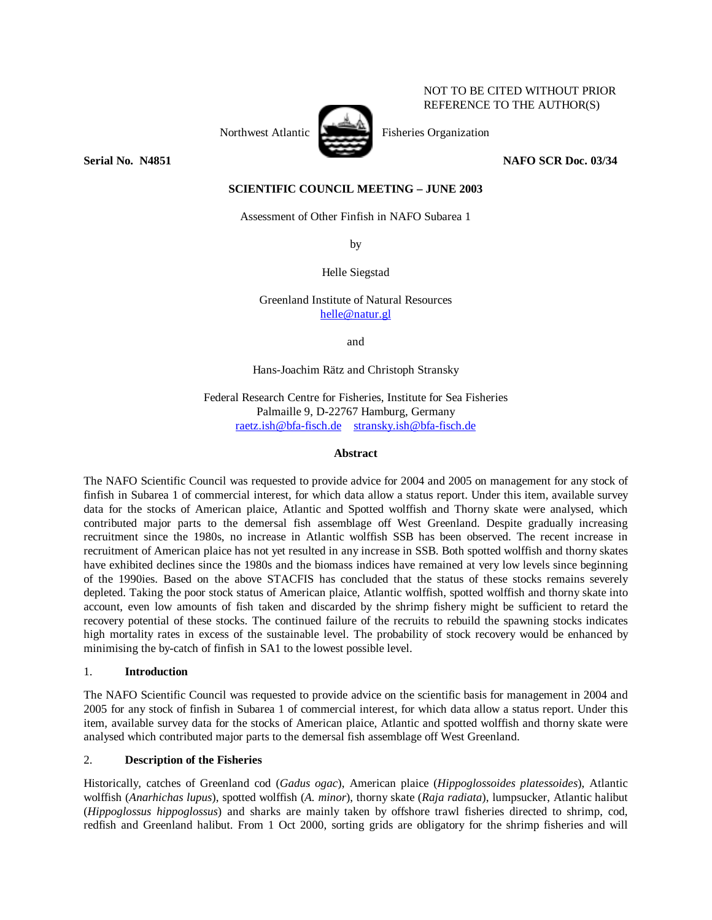## NOT TO BE CITED WITHOUT PRIOR REFERENCE TO THE AUTHOR(S)



Northwest Atlantic Fisheries Organization

**Serial No. 201851** NAFO SCR Doc. 03/34

# **SCIENTIFIC COUNCIL MEETING – JUNE 2003**

Assessment of Other Finfish in NAFO Subarea 1

by

Helle Siegstad

Greenland Institute of Natural Resources helle@natur.gl

and

Hans-Joachim Rätz and Christoph Stransky

Federal Research Centre for Fisheries, Institute for Sea Fisheries Palmaille 9, D-22767 Hamburg, Germany raetz.ish@bfa-fisch.de stransky.ish@bfa-fisch.de

#### **Abstract**

The NAFO Scientific Council was requested to provide advice for 2004 and 2005 on management for any stock of finfish in Subarea 1 of commercial interest, for which data allow a status report. Under this item, available survey data for the stocks of American plaice, Atlantic and Spotted wolffish and Thorny skate were analysed, which contributed major parts to the demersal fish assemblage off West Greenland. Despite gradually increasing recruitment since the 1980s, no increase in Atlantic wolffish SSB has been observed. The recent increase in recruitment of American plaice has not yet resulted in any increase in SSB. Both spotted wolffish and thorny skates have exhibited declines since the 1980s and the biomass indices have remained at very low levels since beginning of the 1990ies. Based on the above STACFIS has concluded that the status of these stocks remains severely depleted. Taking the poor stock status of American plaice, Atlantic wolffish, spotted wolffish and thorny skate into account, even low amounts of fish taken and discarded by the shrimp fishery might be sufficient to retard the recovery potential of these stocks. The continued failure of the recruits to rebuild the spawning stocks indicates high mortality rates in excess of the sustainable level. The probability of stock recovery would be enhanced by minimising the by-catch of finfish in SA1 to the lowest possible level.

### 1. **Introduction**

The NAFO Scientific Council was requested to provide advice on the scientific basis for management in 2004 and 2005 for any stock of finfish in Subarea 1 of commercial interest, for which data allow a status report. Under this item, available survey data for the stocks of American plaice, Atlantic and spotted wolffish and thorny skate were analysed which contributed major parts to the demersal fish assemblage off West Greenland.

#### 2. **Description of the Fisheries**

Historically, catches of Greenland cod (*Gadus ogac*), American plaice (*Hippoglossoides platessoides*), Atlantic wolffish (*Anarhichas lupus*), spotted wolffish (*A. minor*), thorny skate (*Raja radiata*), lumpsucker, Atlantic halibut (*Hippoglossus hippoglossus*) and sharks are mainly taken by offshore trawl fisheries directed to shrimp, cod, redfish and Greenland halibut. From 1 Oct 2000, sorting grids are obligatory for the shrimp fisheries and will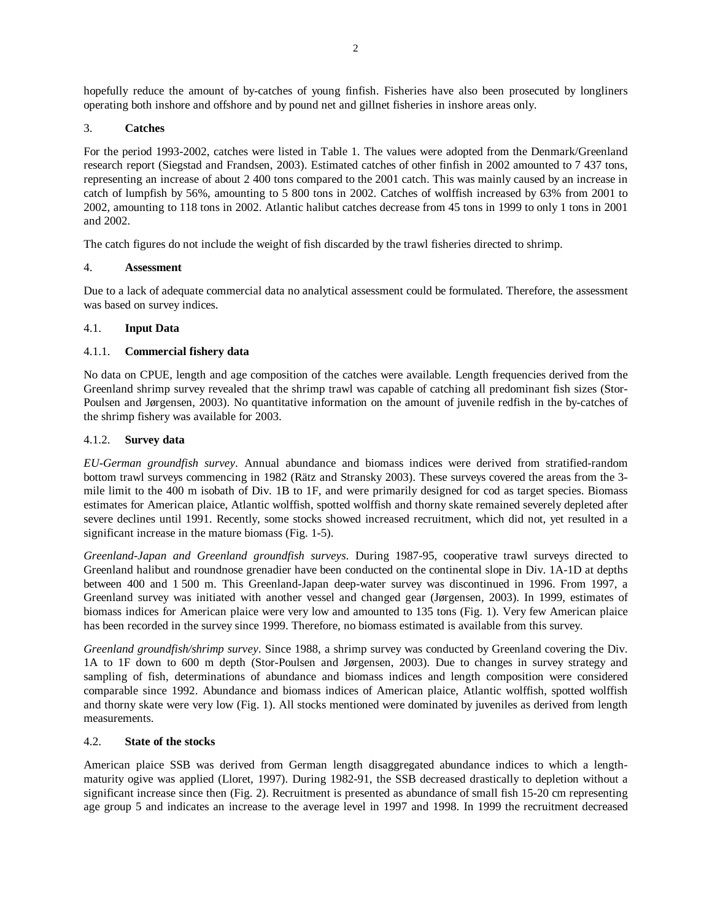hopefully reduce the amount of by-catches of young finfish. Fisheries have also been prosecuted by longliners operating both inshore and offshore and by pound net and gillnet fisheries in inshore areas only.

## 3. **Catches**

For the period 1993-2002, catches were listed in Table 1. The values were adopted from the Denmark/Greenland research report (Siegstad and Frandsen, 2003). Estimated catches of other finfish in 2002 amounted to 7 437 tons, representing an increase of about 2 400 tons compared to the 2001 catch. This was mainly caused by an increase in catch of lumpfish by 56%, amounting to 5 800 tons in 2002. Catches of wolffish increased by 63% from 2001 to 2002, amounting to 118 tons in 2002. Atlantic halibut catches decrease from 45 tons in 1999 to only 1 tons in 2001 and 2002.

The catch figures do not include the weight of fish discarded by the trawl fisheries directed to shrimp.

## 4. **Assessment**

Due to a lack of adequate commercial data no analytical assessment could be formulated. Therefore, the assessment was based on survey indices.

## 4.1. **Input Data**

## 4.1.1. **Commercial fishery data**

No data on CPUE, length and age composition of the catches were available. Length frequencies derived from the Greenland shrimp survey revealed that the shrimp trawl was capable of catching all predominant fish sizes (Stor-Poulsen and Jørgensen, 2003). No quantitative information on the amount of juvenile redfish in the by-catches of the shrimp fishery was available for 2003.

## 4.1.2. **Survey data**

*EU-German groundfish survey*. Annual abundance and biomass indices were derived from stratified-random bottom trawl surveys commencing in 1982 (Rätz and Stransky 2003). These surveys covered the areas from the 3 mile limit to the 400 m isobath of Div. 1B to 1F, and were primarily designed for cod as target species. Biomass estimates for American plaice, Atlantic wolffish, spotted wolffish and thorny skate remained severely depleted after severe declines until 1991. Recently, some stocks showed increased recruitment, which did not, yet resulted in a significant increase in the mature biomass (Fig. 1-5).

*Greenland-Japan and Greenland groundfish surveys*. During 1987-95, cooperative trawl surveys directed to Greenland halibut and roundnose grenadier have been conducted on the continental slope in Div. 1A-1D at depths between 400 and 1 500 m. This Greenland-Japan deep-water survey was discontinued in 1996. From 1997, a Greenland survey was initiated with another vessel and changed gear (Jørgensen, 2003). In 1999, estimates of biomass indices for American plaice were very low and amounted to 135 tons (Fig. 1). Very few American plaice has been recorded in the survey since 1999. Therefore, no biomass estimated is available from this survey.

*Greenland groundfish/shrimp survey*. Since 1988, a shrimp survey was conducted by Greenland covering the Div. 1A to 1F down to 600 m depth (Stor-Poulsen and Jørgensen, 2003). Due to changes in survey strategy and sampling of fish, determinations of abundance and biomass indices and length composition were considered comparable since 1992. Abundance and biomass indices of American plaice, Atlantic wolffish, spotted wolffish and thorny skate were very low (Fig. 1). All stocks mentioned were dominated by juveniles as derived from length measurements.

#### 4.2. **State of the stocks**

American plaice SSB was derived from German length disaggregated abundance indices to which a lengthmaturity ogive was applied (Lloret, 1997). During 1982-91, the SSB decreased drastically to depletion without a significant increase since then (Fig. 2). Recruitment is presented as abundance of small fish 15-20 cm representing age group 5 and indicates an increase to the average level in 1997 and 1998. In 1999 the recruitment decreased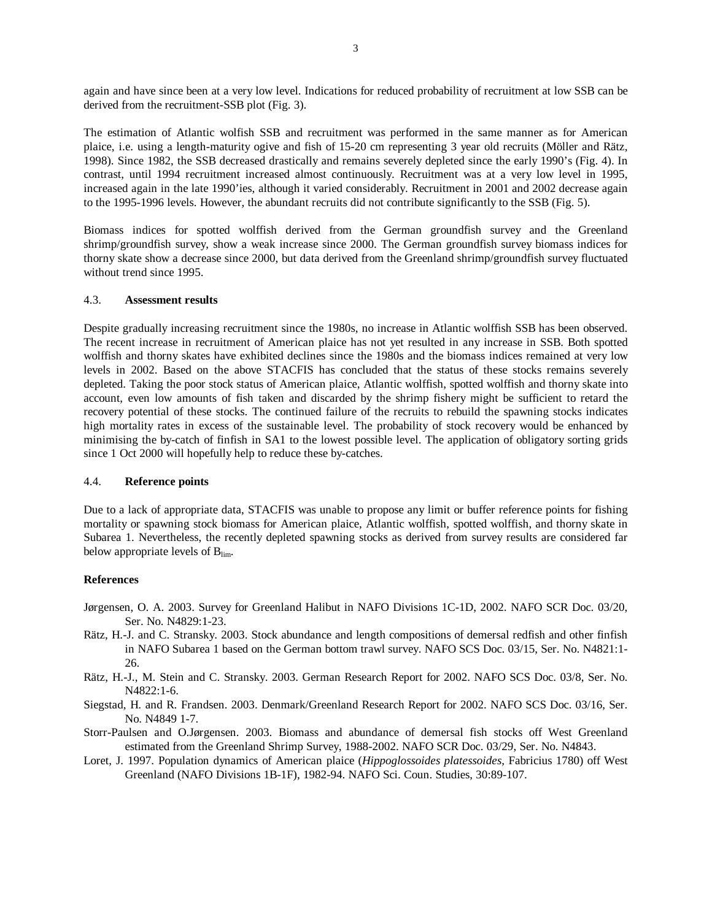again and have since been at a very low level. Indications for reduced probability of recruitment at low SSB can be derived from the recruitment-SSB plot (Fig. 3).

The estimation of Atlantic wolfish SSB and recruitment was performed in the same manner as for American plaice, i.e. using a length-maturity ogive and fish of 15-20 cm representing 3 year old recruits (Möller and Rätz, 1998). Since 1982, the SSB decreased drastically and remains severely depleted since the early 1990's (Fig. 4). In contrast, until 1994 recruitment increased almost continuously. Recruitment was at a very low level in 1995, increased again in the late 1990'ies, although it varied considerably. Recruitment in 2001 and 2002 decrease again to the 1995-1996 levels. However, the abundant recruits did not contribute significantly to the SSB (Fig. 5).

Biomass indices for spotted wolffish derived from the German groundfish survey and the Greenland shrimp/groundfish survey, show a weak increase since 2000. The German groundfish survey biomass indices for thorny skate show a decrease since 2000, but data derived from the Greenland shrimp/groundfish survey fluctuated without trend since 1995.

#### 4.3. **Assessment results**

Despite gradually increasing recruitment since the 1980s, no increase in Atlantic wolffish SSB has been observed. The recent increase in recruitment of American plaice has not yet resulted in any increase in SSB. Both spotted wolffish and thorny skates have exhibited declines since the 1980s and the biomass indices remained at very low levels in 2002. Based on the above STACFIS has concluded that the status of these stocks remains severely depleted. Taking the poor stock status of American plaice, Atlantic wolffish, spotted wolffish and thorny skate into account, even low amounts of fish taken and discarded by the shrimp fishery might be sufficient to retard the recovery potential of these stocks. The continued failure of the recruits to rebuild the spawning stocks indicates high mortality rates in excess of the sustainable level. The probability of stock recovery would be enhanced by minimising the by-catch of finfish in SA1 to the lowest possible level. The application of obligatory sorting grids since 1 Oct 2000 will hopefully help to reduce these by-catches.

#### 4.4. **Reference points**

Due to a lack of appropriate data, STACFIS was unable to propose any limit or buffer reference points for fishing mortality or spawning stock biomass for American plaice, Atlantic wolffish, spotted wolffish, and thorny skate in Subarea 1. Nevertheless, the recently depleted spawning stocks as derived from survey results are considered far below appropriate levels of  $B_{\text{lim}}$ .

#### **References**

- Jørgensen, O. A. 2003. Survey for Greenland Halibut in NAFO Divisions 1C-1D, 2002. NAFO SCR Doc. 03/20, Ser. No. N4829:1-23.
- Rätz, H.-J. and C. Stransky. 2003. Stock abundance and length compositions of demersal redfish and other finfish in NAFO Subarea 1 based on the German bottom trawl survey. NAFO SCS Doc. 03/15, Ser. No. N4821:1- 26.
- Rätz, H.-J., M. Stein and C. Stransky. 2003. German Research Report for 2002. NAFO SCS Doc. 03/8, Ser. No. N4822:1-6.
- Siegstad, H. and R. Frandsen. 2003. Denmark/Greenland Research Report for 2002. NAFO SCS Doc. 03/16, Ser. No. N4849 1-7.
- Storr-Paulsen and O.Jørgensen. 2003. Biomass and abundance of demersal fish stocks off West Greenland estimated from the Greenland Shrimp Survey, 1988-2002. NAFO SCR Doc. 03/29, Ser. No. N4843.
- Loret, J. 1997. Population dynamics of American plaice (*Hippoglossoides platessoides*, Fabricius 1780) off West Greenland (NAFO Divisions 1B-1F), 1982-94. NAFO Sci. Coun. Studies, 30:89-107.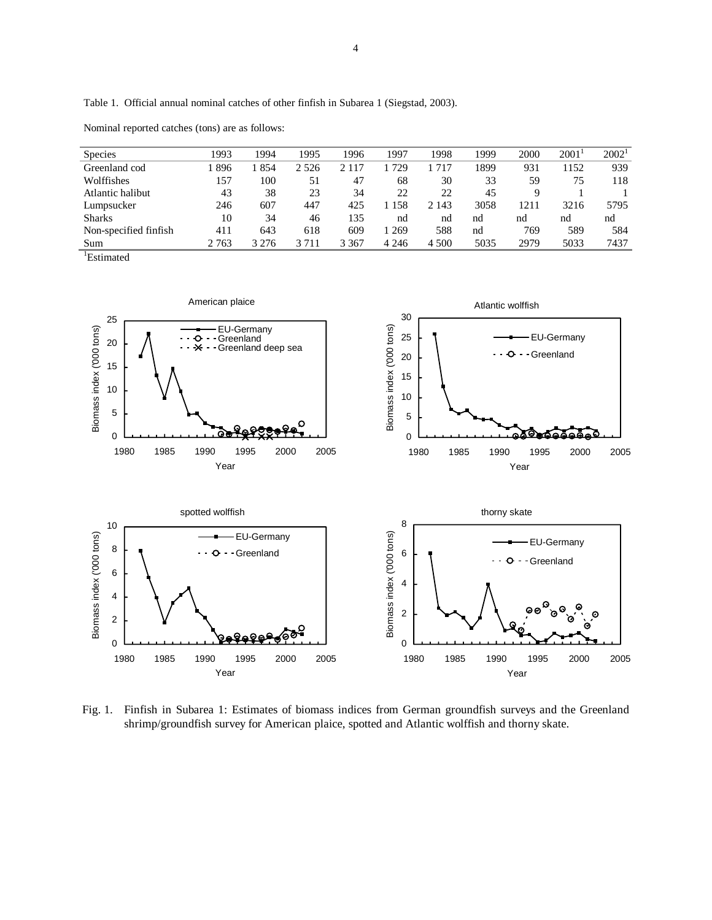Table 1. Official annual nominal catches of other finfish in Subarea 1 (Siegstad, 2003).

| <b>Species</b>        | 1993    | 1994    | 1995    | 1996    | 1997    | 1998    | 1999 | 2000 | 2001 | $2002^1$ |
|-----------------------|---------|---------|---------|---------|---------|---------|------|------|------|----------|
| Greenland cod         | 896     | 854     | 2 5 2 6 | 2 1 1 7 | 729     | 717     | 1899 | 931  | 152  | 939      |
| Wolffishes            | 157     | 100     | 51      | 47      | 68      | 30      | 33   | 59   | 75   | 118      |
| Atlantic halibut      | 43      | 38      | 23      | 34      | 22      | 22      | 45   | Q    |      |          |
| Lumpsucker            | 246     | 607     | 447     | 425     | 158     | 2 1 4 3 | 3058 | 1211 | 3216 | 5795     |
| <b>Sharks</b>         | 10      | 34      | 46      | 135     | nd      | nd      | nd   | nd   | nd   | nd       |
| Non-specified finfish | 411     | 643     | 618     | 609     | 1 2 6 9 | 588     | nd   | 769  | 589  | 584      |
| Sum                   | 2 7 6 3 | 3 2 7 6 | 3 7 1 1 | 3 3 6 7 | 4 2 4 6 | 4 500   | 5035 | 2979 | 5033 | 7437     |
| . .                   |         |         |         |         |         |         |      |      |      |          |

Nominal reported catches (tons) are as follows:

1 Estimated



Fig. 1. Finfish in Subarea 1: Estimates of biomass indices from German groundfish surveys and the Greenland shrimp/groundfish survey for American plaice, spotted and Atlantic wolffish and thorny skate.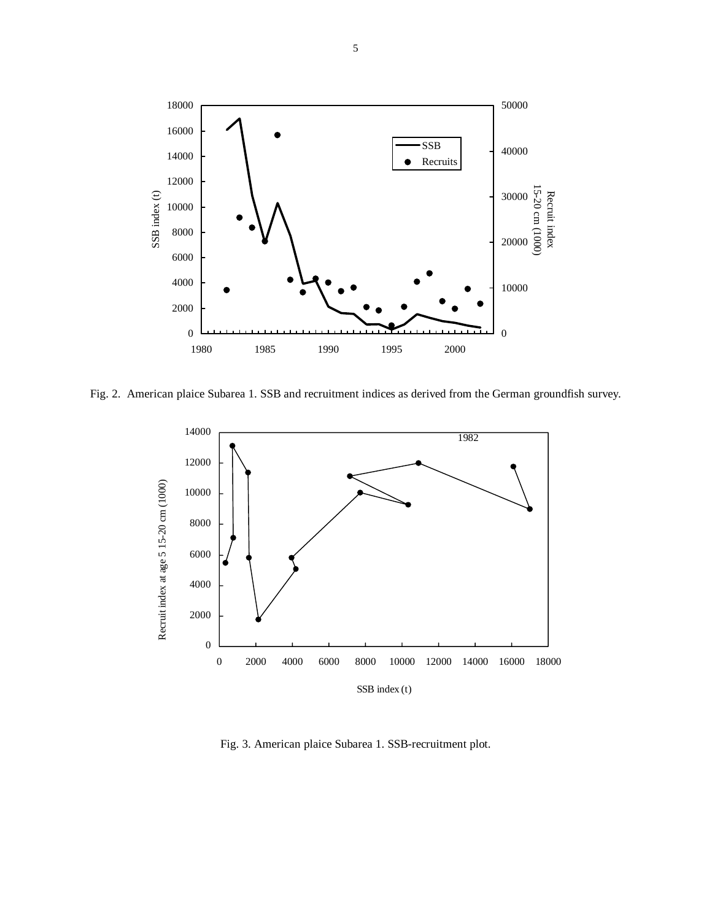

Fig. 2. American plaice Subarea 1. SSB and recruitment indices as derived from the German groundfish survey.



Fig. 3. American plaice Subarea 1. SSB-recruitment plot.